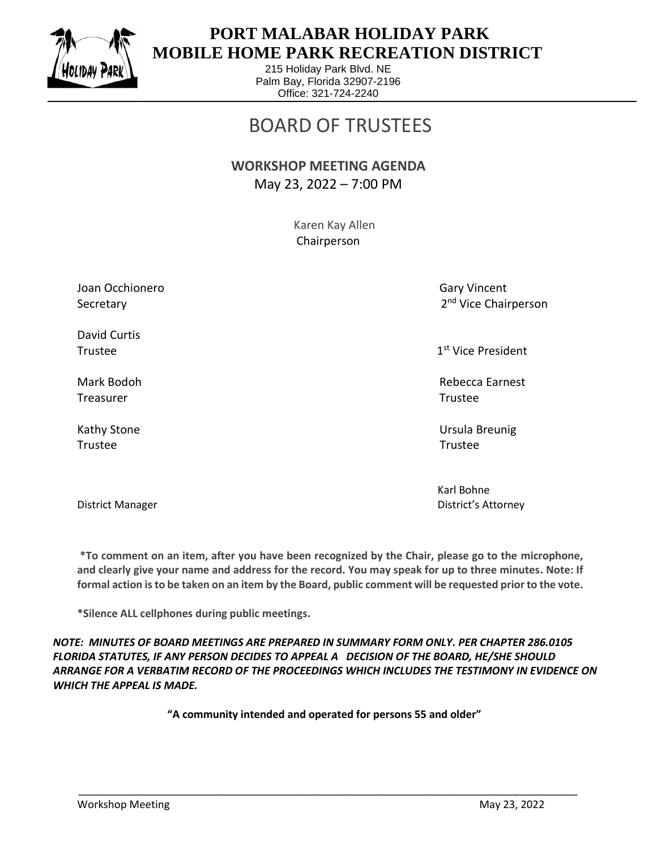

 $\overline{a}$ 

### **PORT MALABAR HOLIDAY PARK MOBILE HOME PARK RECREATION DISTRICT**

215 Holiday Park Blvd. NE Palm Bay, Florida 32907-2196 Office: 321-724-2240

# BOARD OF TRUSTEES

#### **WORKSHOP MEETING AGENDA** May 23, 2022 – 7:00 PM

 Karen Kay Allen Chairperson

Joan Occhionero Gary Vincent Communication of the Gary Vincent Communication of Gary Vincent Secretary

David Curtis Trustee and the state of the state of the state of the state of the state of the state of the state of the state of the state of the state of the state of the state of the state of the state of the state of the state of th

Treasurer Trustee

Trustee Trustee

2<sup>nd</sup> Vice Chairperson

1<sup>st</sup> Vice President

Mark Bodoh Rebecca Earnest

Kathy Stone Ursula Breunig

 Karl Bohne District Manager District's Attorney

**\*To comment on an item, after you have been recognized by the Chair, please go to the microphone, and clearly give your name and address for the record. You may speak for up to three minutes. Note: If formal action is to be taken on an item by the Board, public comment will be requested prior to the vote.**

**\*Silence ALL cellphones during public meetings.**

*NOTE: MINUTES OF BOARD MEETINGS ARE PREPARED IN SUMMARY FORM ONLY. PER CHAPTER 286.0105 FLORIDA STATUTES, IF ANY PERSON DECIDES TO APPEAL A DECISION OF THE BOARD, HE/SHE SHOULD ARRANGE FOR A VERBATIM RECORD OF THE PROCEEDINGS WHICH INCLUDES THE TESTIMONY IN EVIDENCE ON WHICH THE APPEAL IS MADE.*

**"A community intended and operated for persons 55 and older"**

\_\_\_\_\_\_\_\_\_\_\_\_\_\_\_\_\_\_\_\_\_\_\_\_\_\_\_\_\_\_\_\_\_\_\_\_\_\_\_\_\_\_\_\_\_\_\_\_\_\_\_\_\_\_\_\_\_\_\_\_\_\_\_\_\_\_\_\_\_\_\_\_\_\_\_\_\_\_\_\_\_\_\_\_\_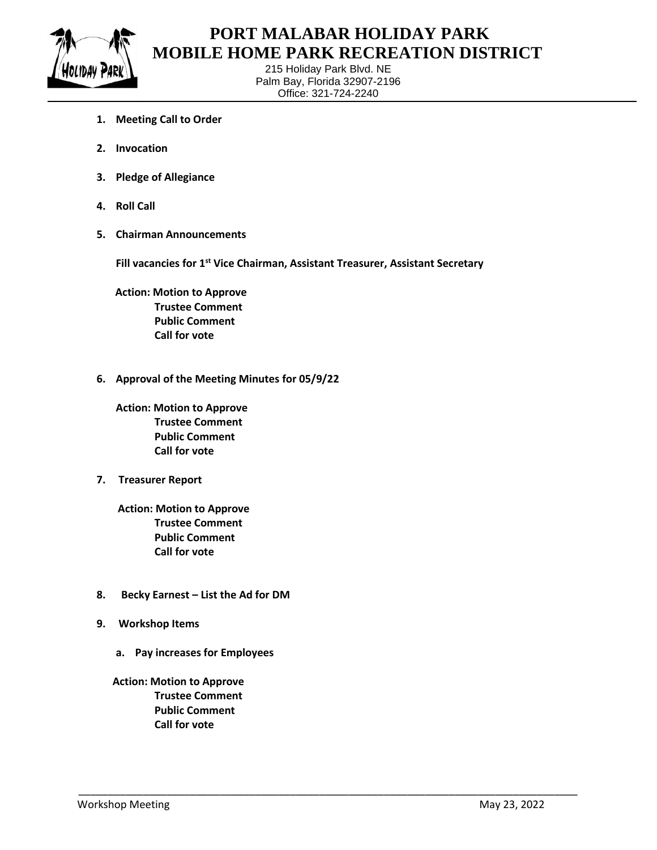

 $\overline{a}$ 

#### **PORT MALABAR HOLIDAY PARK MOBILE HOME PARK RECREATION DISTRICT**

215 Holiday Park Blvd. NE Palm Bay, Florida 32907-2196 Office: 321-724-2240

- **1. Meeting Call to Order**
- **2. Invocation**
- **3. Pledge of Allegiance**
- **4. Roll Call**
- **5. Chairman Announcements**

**Fill vacancies for 1st Vice Chairman, Assistant Treasurer, Assistant Secretary**

\_\_\_\_\_\_\_\_\_\_\_\_\_\_\_\_\_\_\_\_\_\_\_\_\_\_\_\_\_\_\_\_\_\_\_\_\_\_\_\_\_\_\_\_\_\_\_\_\_\_\_\_\_\_\_\_\_\_\_\_\_\_\_\_\_\_\_\_\_\_\_\_\_\_\_\_\_\_\_\_\_\_\_\_\_

 **Action: Motion to Approve Trustee Comment Public Comment Call for vote**

**6. Approval of the Meeting Minutes for 05/9/22**

**Action: Motion to Approve Trustee Comment Public Comment Call for vote**

**7. Treasurer Report**

 **Action: Motion to Approve Trustee Comment Public Comment Call for vote**

- **8. Becky Earnest – List the Ad for DM**
- **9. Workshop Items**
	- **a. Pay increases for Employees**

 **Action: Motion to Approve Trustee Comment Public Comment Call for vote**